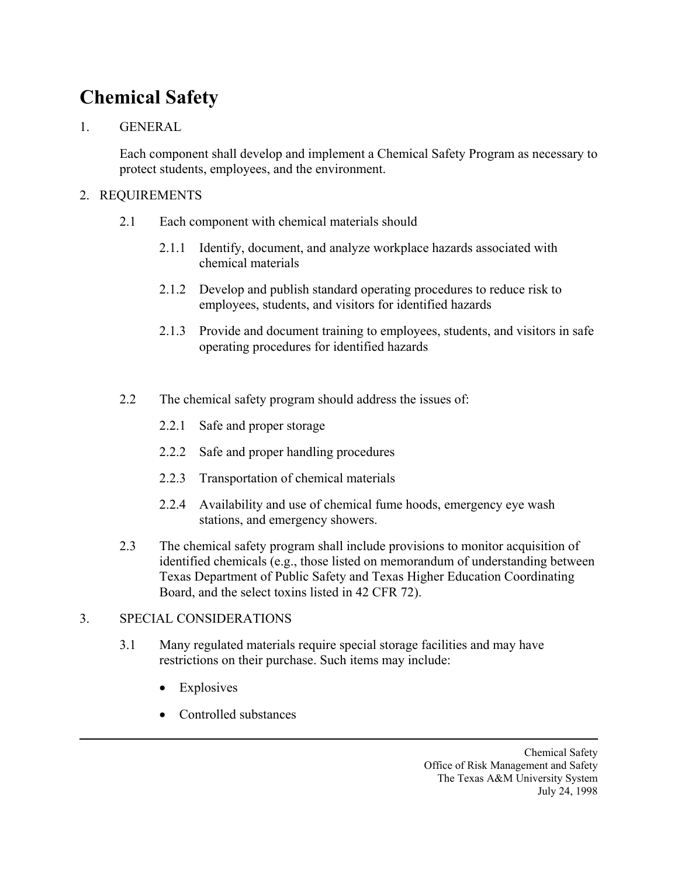## **Chemical Safety**

## 1. GENERAL

Each component shall develop and implement a Chemical Safety Program as necessary to protect students, employees, and the environment.

## 2. REQUIREMENTS

- 2.1 Each component with chemical materials should
	- 2.1.1 Identify, document, and analyze workplace hazards associated with chemical materials
	- 2.1.2 Develop and publish standard operating procedures to reduce risk to employees, students, and visitors for identified hazards
	- 2.1.3 Provide and document training to employees, students, and visitors in safe operating procedures for identified hazards
- 2.2 The chemical safety program should address the issues of:
	- 2.2.1 Safe and proper storage
	- 2.2.2 Safe and proper handling procedures
	- 2.2.3 Transportation of chemical materials
	- 2.2.4 Availability and use of chemical fume hoods, emergency eye wash stations, and emergency showers.
- 2.3 The chemical safety program shall include provisions to monitor acquisition of identified chemicals (e.g., those listed on memorandum of understanding between Texas Department of Public Safety and Texas Higher Education Coordinating Board, and the select toxins listed in 42 CFR 72).

## 3. SPECIAL CONSIDERATIONS

- 3.1 Many regulated materials require special storage facilities and may have restrictions on their purchase. Such items may include:
	- Explosives
	- Controlled substances

Chemical Safety Office of Risk Management and Safety The Texas A&M University System July 24, 1998